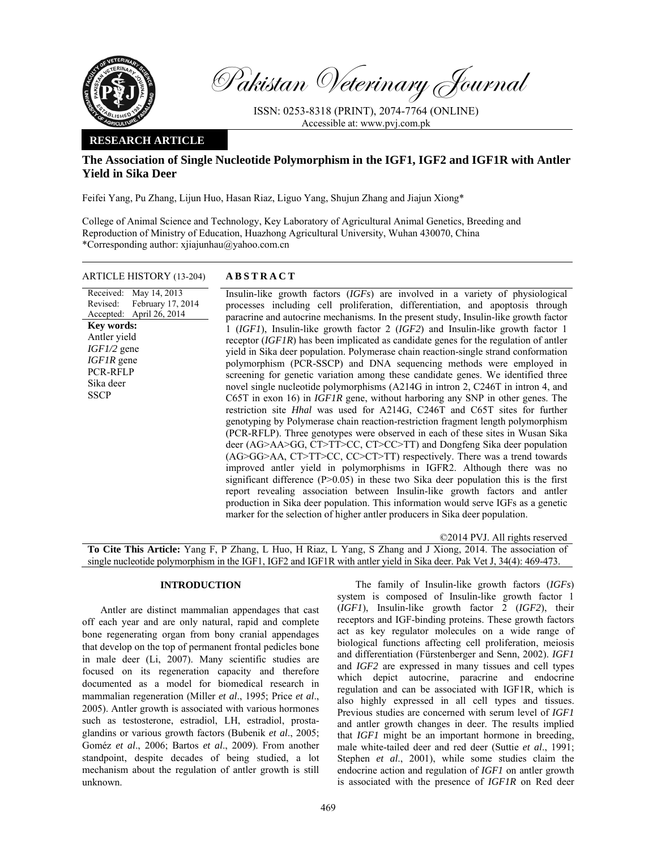

Pakistan Veterinary Journal

ISSN: 0253-8318 (PRINT), 2074-7764 (ONLINE) Accessible at: www.pvj.com.pk

## **RESEARCH ARTICLE**

# **The Association of Single Nucleotide Polymorphism in the IGF1, IGF2 and IGF1R with Antler Yield in Sika Deer**

Feifei Yang, Pu Zhang, Lijun Huo, Hasan Riaz, Liguo Yang, Shujun Zhang and Jiajun Xiong\*

College of Animal Science and Technology, Key Laboratory of Agricultural Animal Genetics, Breeding and Reproduction of Ministry of Education, Huazhong Agricultural University, Wuhan 430070, China \*Corresponding author: xjiajunhau@yahoo.com.cn

### ARTICLE HISTORY (13-204) **ABSTRACT**

Received: Revised: Accepted: May 14, 2013 February 17, 2014 April 26, 2014 **Key words:**  Antler yield *IGF1/2* gene *IGF1R* gene PCR-RFLP Sika deer **SSCP** 

 Insulin-like growth factors (*IGFs*) are involved in a variety of physiological processes including cell proliferation, differentiation, and apoptosis through paracrine and autocrine mechanisms. In the present study, Insulin-like growth factor 1 (*IGF1*), Insulin-like growth factor 2 (*IGF2*) and Insulin-like growth factor 1 receptor (*IGF1R*) has been implicated as candidate genes for the regulation of antler yield in Sika deer population. Polymerase chain reaction-single strand conformation polymorphism (PCR-SSCP) and DNA sequencing methods were employed in screening for genetic variation among these candidate genes. We identified three novel single nucleotide polymorphisms (A214G in intron 2, C246T in intron 4, and C65T in exon 16) in *IGF1R* gene, without harboring any SNP in other genes. The restriction site *Hhal* was used for A214G, C246T and C65T sites for further genotyping by Polymerase chain reaction-restriction fragment length polymorphism (PCR-RFLP). Three genotypes were observed in each of these sites in Wusan Sika deer (AG>AA>GG, CT>TT>CC, CT>CC>TT) and Dongfeng Sika deer population (AG>GG>AA, CT>TT>CC, CC>CT>TT) respectively. There was a trend towards improved antler yield in polymorphisms in IGFR2. Although there was no significant difference  $(P>0.05)$  in these two Sika deer population this is the first report revealing association between Insulin-like growth factors and antler production in Sika deer population. This information would serve IGFs as a genetic marker for the selection of higher antler producers in Sika deer population.

©2014 PVJ. All rights reserved **To Cite This Article:** Yang F, P Zhang, L Huo, H Riaz, L Yang, S Zhang and J Xiong, 2014. The association of single nucleotide polymorphism in the IGF1, IGF2 and IGF1R with antler yield in Sika deer. Pak Vet J, 34(4): 469-473.

### **INTRODUCTION**

Antler are distinct mammalian appendages that cast off each year and are only natural, rapid and complete bone regenerating organ from bony cranial appendages that develop on the top of permanent frontal pedicles bone in male deer (Li, 2007). Many scientific studies are focused on its regeneration capacity and therefore documented as a model for biomedical research in mammalian regeneration (Miller *et al*., 1995; Price *et al*., 2005). Antler growth is associated with various hormones such as testosterone, estradiol, LH, estradiol, prostaglandins or various growth factors (Bubenik *et al*., 2005; Goméz *et al*., 2006; Bartos *et al*., 2009). From another standpoint, despite decades of being studied, a lot mechanism about the regulation of antler growth is still unknown.

The family of Insulin-like growth factors (*IGFs*) system is composed of Insulin-like growth factor 1 (*IGF1*), Insulin-like growth factor 2 (*IGF2*), their receptors and IGF-binding proteins. These growth factors act as key regulator molecules on a wide range of biological functions affecting cell proliferation, meiosis and differentiation (Fürstenberger and Senn, 2002). *IGF1*  and *IGF2* are expressed in many tissues and cell types which depict autocrine, paracrine and endocrine regulation and can be associated with IGF1R*,* which is also highly expressed in all cell types and tissues. Previous studies are concerned with serum level of *IGF1* and antler growth changes in deer. The results implied that *IGF1* might be an important hormone in breeding, male white-tailed deer and red deer (Suttie *et al*., 1991; Stephen *et al*., 2001), while some studies claim the endocrine action and regulation of *IGF1* on antler growth is associated with the presence of *IGF1R* on Red deer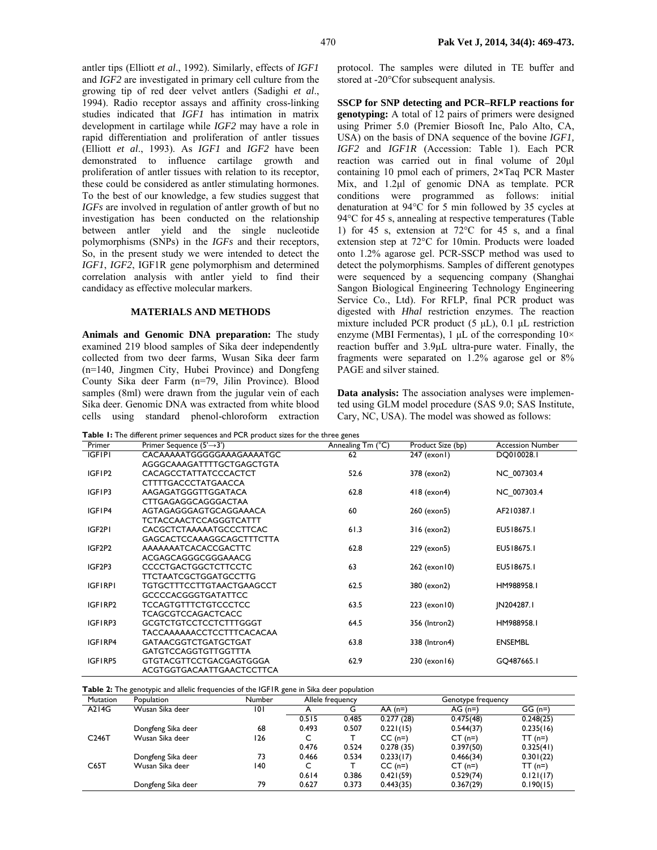antler tips (Elliott *et al*., 1992). Similarly, effects of *IGF1* and *IGF2* are investigated in primary cell culture from the growing tip of red deer velvet antlers (Sadighi *et al*., 1994). Radio receptor assays and affinity cross-linking studies indicated that *IGF1* has intimation in matrix development in cartilage while *IGF2* may have a role in rapid differentiation and proliferation of antler tissues (Elliott *et al*., 1993). As *IGF1* and *IGF2* have been demonstrated to influence cartilage growth and proliferation of antler tissues with relation to its receptor, these could be considered as antler stimulating hormones. To the best of our knowledge, a few studies suggest that *IGFs* are involved in regulation of antler growth of but no investigation has been conducted on the relationship between antler yield and the single nucleotide polymorphisms (SNPs) in the *IGFs* and their receptors, So, in the present study we were intended to detect the *IGF1*, *IGF2*, IGF1R gene polymorphism and determined correlation analysis with antler yield to find their candidacy as effective molecular markers.

### **MATERIALS AND METHODS**

**Animals and Genomic DNA preparation:** The study examined 219 blood samples of Sika deer independently collected from two deer farms, Wusan Sika deer farm (n=140, Jingmen City, Hubei Province) and Dongfeng County Sika deer Farm (n=79, Jilin Province). Blood samples (8ml) were drawn from the jugular vein of each Sika deer. Genomic DNA was extracted from white blood cells using standard phenol-chloroform extraction

protocol. The samples were diluted in TE buffer and stored at -20°C for subsequent analysis.

**SSCP for SNP detecting and PCR–RFLP reactions for genotyping:** A total of 12 pairs of primers were designed using Primer 5.0 (Premier Biosoft Inc, Palo Alto, CA, USA) on the basis of DNA sequence of the bovine *IGF1, IGF2* and *IGF1R* (Accession: Table 1). Each PCR reaction was carried out in final volume of 20µl containing 10 pmol each of primers, 2**×**Taq PCR Master Mix, and 1.2µl of genomic DNA as template. PCR conditions were programmed as follows: initial denaturation at  $94^{\circ}$ C for 5 min followed by 35 cycles at 94°C for 45 s, annealing at respective temperatures (Table 1) for 45 s, extension at  $72^{\circ}$ C for 45 s, and a final extension step at 72°C for 10min. Products were loaded onto 1.2% agarose gel. PCR-SSCP method was used to detect the polymorphisms. Samples of different genotypes were sequenced by a sequencing company (Shanghai Sangon Biological Engineering Technology Engineering Service Co., Ltd). For RFLP, final PCR product was digested with *Hhal* restriction enzymes. The reaction mixture included PCR product  $(5 \mu L)$ , 0.1  $\mu L$  restriction enzyme (MBI Fermentas), 1  $\mu$ L of the corresponding  $10 \times$ reaction buffer and 3.9µL ultra-pure water. Finally, the fragments were separated on 1.2% agarose gel or 8% PAGE and silver stained.

**Data analysis:** The association analyses were implemented using GLM model procedure (SAS 9.0; SAS Institute, Cary, NC, USA). The model was showed as follows:

**Table 1:** The different primer sequences and PCR product sizes for the three genes

| Primer         | Primer Sequence $(5' \rightarrow 3')$ | Annealing Tm (°C) | Product Size (bp) | <b>Accession Number</b> |
|----------------|---------------------------------------|-------------------|-------------------|-------------------------|
| <b>IGFIPI</b>  | CACAAAAATGGGGGAAAGAAAATGC             | 62                | 247 (exon1)       | DQ010028.1              |
|                | AGGGCAAAGATTTTGCTGAGCTGTA             |                   |                   |                         |
| IGFIP2         | <b>CACAGCCTATTATCCCACTCT</b>          | 52.6              | 378 (exon2)       | NC 007303.4             |
|                | <b>CTTTTGACCCTATGAACCA</b>            |                   |                   |                         |
| IGFIP3         | AAGAGATGGGTTGGATACA                   | 62.8              | 418 (exon4)       | NC 007303.4             |
|                | CTTGAGAGGCAGGGACTAA                   |                   |                   |                         |
| IGFIP4         | AGTAGAGGGAGTGCAGGAAACA                | 60                | 260 (exon5)       | AF210387.1              |
|                | TCTACCAACTCCAGGGTCATTT                |                   |                   |                         |
| IGF2PI         | CACGCTCTAAAAATGCCCTTCAC               | 61.3              | 316 (exon2)       | EU518675.1              |
|                | <b>GAGCACTCCAAAGGCAGCTTTCTTA</b>      |                   |                   |                         |
| IGF2P2         | AAAAAAATCACACCGACTTC                  | 62.8              | 229 (exon5)       | EU518675.1              |
|                | ACGAGCAGGGCGGGAAACG                   |                   |                   |                         |
| IGF2P3         | <b>CCCCTGACTGGCTCTTCCTC</b>           | 63                | 262 (exon 10)     | EU518675.1              |
|                | <b>TTCTAATCGCTGGATGCCTTG</b>          |                   |                   |                         |
| <b>IGFIRPI</b> | <b>TGTGCTTTCCTTGTAACTGAAGCCT</b>      | 62.5              | 380 (exon2)       | HM988958.1              |
|                | <b>GCCCCACGGGTGATATTCC</b>            |                   |                   |                         |
| IGFIRP2        | <b>TCCAGTGTTTCTGTCCCTCC</b>           | 63.5              | 223 (exon 10)     | JN204287.1              |
|                | <b>TCAGCGTCCAGACTCACC</b>             |                   |                   |                         |
| IGFIRP3        | <b>GCGTCTGTCCTCCTCTTTGGGT</b>         | 64.5              | 356 (Intron2)     | HM988958.1              |
|                | <b>TACCAAAAAACCTCCTTTCACACAA</b>      |                   |                   |                         |
| IGFIRP4        | <b>GATAACGGTCTGATGCTGAT</b>           | 63.8              | 338 (Intron4)     | <b>ENSEMBL</b>          |
|                | <b>GATGTCCAGGTGTTGGTTTA</b>           |                   |                   |                         |
| IGFIRP5        | <b>GTGTACGTTCCTGACGAGTGGGA</b>        | 62.9              | 230 (exon 16)     | GQ487665.1              |
|                | ACGTGGTGACAATTGAACTCCTTCA             |                   |                   |                         |

**Table 2:** The genotypic and allelic frequencies of the IGF1R gene in Sika deer population

| Mutation           | . .<br>Population  | ັ<br>Number |       | Allele frequency | Genotype frequency |           |           |
|--------------------|--------------------|-------------|-------|------------------|--------------------|-----------|-----------|
| A214G              | Wusan Sika deer    | 101         | A     | G                | $AA(n=)$           | $AG(n=)$  | $GG(n=)$  |
|                    |                    |             | 0.515 | 0.485            | 0.277(28)          | 0.475(48) | 0.248(25) |
|                    | Dongfeng Sika deer | 68          | 0.493 | 0.507            | 0.221(15)          | 0.544(37) | 0.235(16) |
| C <sub>246</sub> T | Wusan Sika deer    | 126         | C     |                  | $CC(n=)$           | $CT$ (n=) | $TT(n=)$  |
|                    |                    |             | 0.476 | 0.524            | 0.278(35)          | 0.397(50) | 0.325(41) |
|                    | Dongfeng Sika deer | 73          | 0.466 | 0.534            | 0.233(17)          | 0.466(34) | 0.301(22) |
| C65T               | Wusan Sika deer    | 140         | C     |                  | $CC(n=)$           | $CT$ (n=) | $TT(n=)$  |
|                    |                    |             | 0.614 | 0.386            | 0.421(59)          | 0.529(74) | 0.121(17) |
|                    | Dongfeng Sika deer | 79          | 0.627 | 0.373            | 0.443(35)          | 0.367(29) | 0.190(15) |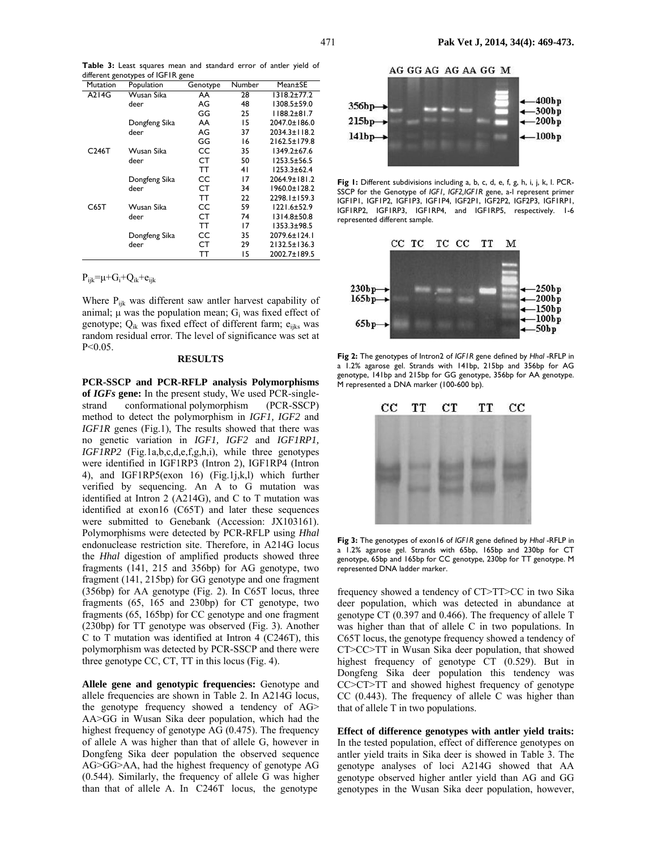|  |                                   |  | Table 3: Least squares mean and standard error of antler yield of |  |  |  |
|--|-----------------------------------|--|-------------------------------------------------------------------|--|--|--|
|  | different genotypes of IGFIR gene |  |                                                                   |  |  |  |

| Mutation           | . .<br>Population | Genotype | Number | Mean±SE            |
|--------------------|-------------------|----------|--------|--------------------|
| A214G              | Wusan Sika        | AA       | 28     | $1318.2 \pm 77.2$  |
|                    | deer              | AG       | 48     | 1308.5±59.0        |
|                    |                   | GG       | 25     | $1188.2 \pm 81.7$  |
|                    | Dongfeng Sika     | AA       | 15     | 2047.0±186.0       |
|                    | deer              | AG       | 37     | $2034.3 \pm 118.2$ |
|                    |                   | GG       | 16     | $2162.5 \pm 179.8$ |
| C <sub>246</sub> T | Wusan Sika        | CC       | 35     | 1349.2±67.6        |
|                    | deer              | СT       | 50     | $1253.5 \pm 56.5$  |
|                    |                   | тт       | 41     | $1253.3 + 62.4$    |
|                    | Dongfeng Sika     | CC       | 17     | 2064.9±181.2       |
|                    | deer              | CТ       | 34     | 1960.0±128.2       |
|                    |                   | ТT       | 22     | $2298.1 \pm 159.3$ |
| C65T               | Wusan Sika        | CC       | 59     | 1221.6±52.9        |
|                    | deer              | CТ       | 74     | $1314.8 \pm 50.8$  |
|                    |                   | ТT       | 17     | 1353.3±98.5        |
|                    | Dongfeng Sika     | CC       | 35     | 2079.6±124.1       |
|                    | deer              | CТ       | 29     | $2132.5 \pm 136.3$ |
|                    |                   | тт       | 15     | 2002.7±189.5       |

 $P_{ijk}=\mu+G_i+Q_{ik}+e_{ijk}$ 

Where P<sub>ijk</sub> was different saw antler harvest capability of animal;  $\mu$  was the population mean;  $G_i$  was fixed effect of genotype; Q<sub>ik</sub> was fixed effect of different farm; e<sub>ijks</sub> was random residual error. The level of significance was set at P<0.05.

#### **RESULTS**

**PCR-SSCP and PCR-RFLP analysis Polymorphisms of** *IGFs* **gene:** In the present study, We used PCR-singlestrand conformational polymorphism (PCR-SSCP) method to detect the polymorphism in *IGF1, IGF2* and *IGF1R* genes (Fig.1), The results showed that there was no genetic variation in *IGF1, IGF2* and *IGF1RP1, IGF1RP2* (Fig.1a,b,c,d,e,f,g,h,i), while three genotypes were identified in IGF1RP3 (Intron 2), IGF1RP4 (Intron 4), and IGF1RP5(exon 16) (Fig.1j,k,l) which further verified by sequencing. An A to G mutation was identified at Intron 2 (A214G), and C to T mutation was identified at exon16 (C65T) and later these sequences were submitted to Genebank (Accession: JX103161). Polymorphisms were detected by PCR-RFLP using *Hhal* endonuclease restriction site. Therefore, in A214G locus the *Hhal* digestion of amplified products showed three fragments (141, 215 and 356bp) for AG genotype, two fragment (141, 215bp) for GG genotype and one fragment (356bp) for AA genotype (Fig. 2). In C65T locus, three fragments (65, 165 and 230bp) for CT genotype, two fragments (65, 165bp) for CC genotype and one fragment (230bp) for TT genotype was observed (Fig. 3). Another C to T mutation was identified at Intron 4 (C246T), this polymorphism was detected by PCR-SSCP and there were three genotype CC, CT, TT in this locus (Fig. 4).

**Allele gene and genotypic frequencies:** Genotype and allele frequencies are shown in Table 2. In A214G locus, the genotype frequency showed a tendency of AG> AA>GG in Wusan Sika deer population, which had the highest frequency of genotype AG (0.475). The frequency of allele A was higher than that of allele G, however in Dongfeng Sika deer population the observed sequence AG>GG>AA, had the highest frequency of genotype AG (0.544). Similarly, the frequency of allele G was higher than that of allele A. InC246T locus, the genotype

#### AG GG AG AG AA GG M



**Fig 1:** Different subdivisions including a, b, c, d, e, f, g, h, i, j, k, l. PCR-SSCP for the Genotype of *IGF1, IGF2,IGF1R* gene, a-l represent primer IGF1P1, IGF1P2, IGF1P3, IGF1P4, IGF2P1, IGF2P2, IGF2P3, IGF1RP1, IGF1RP2, IGF1RP3, IGF1RP4, and IGF1RP5, respectively. 1-6 represented different sample.



**Fig 2:** The genotypes of Intron2 of *IGF1R* gene defined by *Hhal* -RFLP in a 1.2% agarose gel. Strands with 141bp, 215bp and 356bp for AG genotype, 141bp and 215bp for GG genotype, 356bp for AA genotype. M represented a DNA marker (100-600 bp).



**Fig 3:** The genotypes of exon16 of *IGF1R* gene defined by *Hhal* -RFLP in a 1.2% agarose gel. Strands with 65bp, 165bp and 230bp for CT genotype, 65bp and 165bp for CC genotype, 230bp for TT genotype. M represented DNA ladder marker.

frequency showed a tendency of CT>TT>CC in two Sika deer population, which was detected in abundance at genotype CT (0.397 and 0.466). The frequency of allele T was higher than that of allele C in two populations. In C65T locus, the genotype frequency showed a tendency of CT>CC>TT in Wusan Sika deer population, that showed highest frequency of genotype CT (0.529). But in Dongfeng Sika deer population this tendency was CC>CT>TT and showed highest frequency of genotype CC (0.443). The frequency of allele C was higher than that of allele T in two populations.

**Effect of difference genotypes with antler yield traits:**  In the tested population, effect of difference genotypes on antler yield traits in Sika deer is showed in Table 3. The genotype analyses of loci A214G showed that AA genotype observed higher antler yield than AG and GG genotypes in the Wusan Sika deer population, however,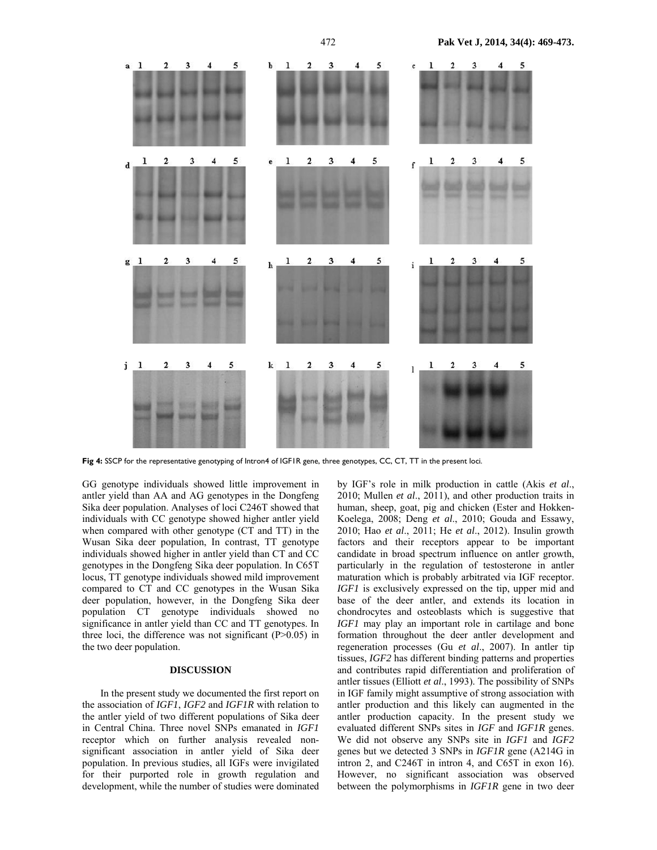

**Fig 4:** SSCP for the representative genotyping of Intron4 of IGF1R gene, three genotypes, CC, CT, TT in the present loci.

GG genotype individuals showed little improvement in antler yield than AA and AG genotypes in the Dongfeng Sika deer population. Analyses of loci C246T showed that individuals with CC genotype showed higher antler yield when compared with other genotype (CT and TT) in the Wusan Sika deer population, In contrast, TT genotype individuals showed higher in antler yield than CT and CC genotypes in the Dongfeng Sika deer population. In C65T locus, TT genotype individuals showed mild improvement compared to CT and CC genotypes in the Wusan Sika deer population, however, in the Dongfeng Sika deer population CT genotype individuals showed no significance in antler yield than CC and TT genotypes. In three loci, the difference was not significant  $(P>0.05)$  in the two deer population.

### **DISCUSSION**

In the present study we documented the first report on the association of *IGF1*, *IGF2* and *IGF1R* with relation to the antler yield of two different populations of Sika deer in Central China. Three novel SNPs emanated in *IGF1* receptor which on further analysis revealed nonsignificant association in antler yield of Sika deer population. In previous studies, all IGFs were invigilated for their purported role in growth regulation and development, while the number of studies were dominated by IGF's role in milk production in cattle (Akis *et al*., 2010; Mullen *et al*., 2011), and other production traits in human, sheep, goat, pig and chicken (Ester and Hokken-Koelega, 2008; Deng *et al*., 2010; Gouda and Essawy, 2010; Hao *et al*., 2011; He *et al*., 2012). Insulin growth factors and their receptors appear to be important candidate in broad spectrum influence on antler growth, particularly in the regulation of testosterone in antler maturation which is probably arbitrated via IGF receptor. *IGF1* is exclusively expressed on the tip, upper mid and base of the deer antler, and extends its location in chondrocytes and osteoblasts which is suggestive that *IGF1* may play an important role in cartilage and bone formation throughout the deer antler development and regeneration processes (Gu *et al*., 2007). In antler tip tissues, *IGF2* has different binding patterns and properties and contributes rapid differentiation and proliferation of antler tissues (Elliott *et al*., 1993). The possibility of SNPs in IGF family might assumptive of strong association with antler production and this likely can augmented in the antler production capacity. In the present study we evaluated different SNPs sites in *IGF* and *IGF1R* genes. We did not observe any SNPs site in *IGF1* and *IGF2* genes but we detected 3 SNPs in *IGF1R* gene (A214G in intron 2, and C246T in intron 4, and C65T in exon 16). However, no significant association was observed between the polymorphisms in *IGF1R* gene in two deer